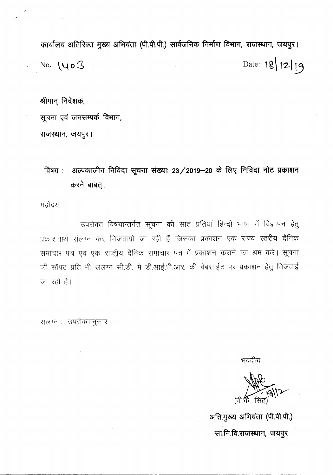कार्यालय अतिरिक्त मुख्य अभियंता (पी.पी.पी.) सार्वजनिक निर्माण विभाग, राजस्थान, जयपुर। No. **\** $U_0$  **3** Date: 1g\ **12** 19

श्रीमान् निदेशक,

सूचना एवं जनसम्पर्क विभाग,

राजस्थान, जयपुर।

**~ :- 3i(."lq(f)Ic41'i** ~RlGI ~ ~: **23/2019-20 cfi ~ PtRlGI -;:flc** ~(f)I~I'i करने बाबत् ।

महोदय,

उपरोक्त विषयान्तर्गत सूचना की सात प्रतियां हिन्दी भाषा में विज्ञापन हेतु प्रकाशनार्थ संलग्न कर भिजवायी जा रही हैं जिसका प्रकाशन एक राज्य स्तरीय दैनिक समाचार पत्र एवं एक राष्ट्रीय दैनिक समाचार पत्र में प्रकाशन कराने का श्रम करें। सूचना c\$! xf]efc: ):!fC'r ~)! .\(~.~. x:il.it if ~.~. -qT.**3TR. cBt** ~-rrtc: LR >l **Cl71!;! <sup>I</sup> '1 -g-g <sup>~</sup>** \Ii qI~ जा रही है।

संलग्न :- उपरोक्तानुसार।

भवदीय

*(*वी की) सिं

अति.मुख्य अभियंता (पी.पी.पी.) सा.नि.वि.राजस्थान, जयपुर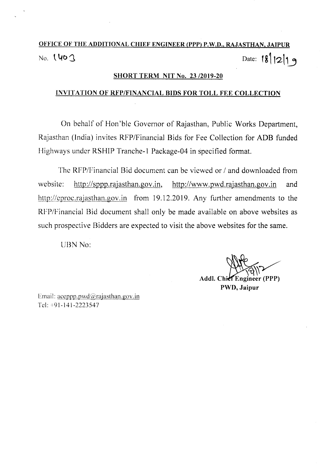# OFFICE OF THE ADDITIONAL CHIEF ENGINEER (PPP) P.W.D., RAJASTHAN, JAIPUR No. **1 40** 3

### **SHORT TERM NIT No. 23/2019-20**

## INVITATION OF RFP/FINANCIAL BIDS FOR TOLL FEE COLLECTION

On behalf of Hon'ble Governor of Rajasthan, Public Works Department, Rajasthan (India) invites RFP/Financial Bids for Fee Collection for ADB funded Highways under RSHIP Tranche-1 Package-04 in specified format.

The RFP/Financial Bid document can be viewed or / and downloaded from website: http://sppp.rajasthan.gov.in, http://www.pwd.rajasthan.gov.in and http://eproc.rajasthan.gov.in from 19.12.2019. Any further amendments to the RFP/Financial Bid document shall only be made available on above websites as such prospective Bidders are expected to visit the above websites for the same.

UBN No:

Addl. Chief Engineer (PPP) PWD, Jaipur

Email:  $acepp, pwd@rajasthan.gov.in$ Tel: +91-141-2223547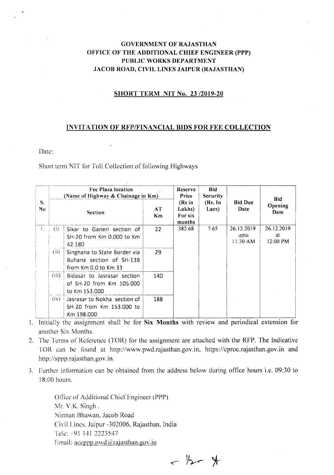## GOVERNMENT OF RAJASTHAN OFFICE OF THE ADDITIONAL CHIEF ENGINEER (PPP) PUBLIC WORKS DEPARTMENT JACOB ROAD, CIVIL LINES JAIPUR (RAJASTHAN)

#### SHORT TERM NIT No. *23/2019-20*

#### INVITATION OF RFP/FINANCIAL BIDS FOR FEE COLLECTION

Date:

Short term NIT for Toll Collection of following Highways

| S.<br>N <sub>0</sub> | Fee Plaza location<br>(Name of Highway & Chainage in Km) |                                                                                      |          | Reserve<br>Price                                             | <b>Bid</b><br>Security |                                | <b>Bid</b>                   |
|----------------------|----------------------------------------------------------|--------------------------------------------------------------------------------------|----------|--------------------------------------------------------------|------------------------|--------------------------------|------------------------------|
|                      |                                                          | <b>Section</b>                                                                       | AT<br>Km | $(Rs)$ in<br>(Rs. In<br>Lakhs)<br>Lacs)<br>For six<br>months |                        | <b>Bid Due</b><br>Date         | Opening<br>Date              |
| 1.                   | (i)                                                      | Sikar to Ganeri section of<br>SH-20 from Km 0.000 to Km<br>42.180                    | 22       | 382.68                                                       | 7.65                   | 26.12.2019<br>upto<br>11:30 AM | 26.12.2019<br>at<br>12:00 PM |
|                      | (ii)                                                     | Singhana to State Border via<br>Buhana section of SH-13B<br>from Km $0.0$ to Km $33$ | 29       |                                                              |                        |                                |                              |
|                      | (iii)                                                    | Bidasar to Jasrasar section<br>of SH-20 from Km 105,000<br>to Km 153.000             | 140      |                                                              |                        |                                |                              |
|                      | (iv)                                                     | Jasrasar to Nokha section of<br>SH-20 from Km 153,000 to<br>Km 198.000               | 188      |                                                              |                        |                                |                              |

- 1. Initially the assignment shall be for Six Months with review and periodical extension for another Six Months.
- 2. The Terms of Reference (TOR) for the assignment are attached with the RFP. The Indicative TOR can be found at http://www.pwd.rajasthan.gov.in, https://eproc.rajasthan.gov.in and http://sppp.rajasthan.gov.in.
- 3. Further information can be obtained from the address below during office hours i.e. 09:30 to 18:00 hours.

Office of Additional Chief Engineer (PPP) Mr. V.K. Singh. Nirman Bhawan, Jacob Road Civil Lines. Jaipur -302006, Rajasthan, India Telc: ·91 1412223547 Email:  $acepp.pwd@rajasthan.gov.in$ 

 $-324$